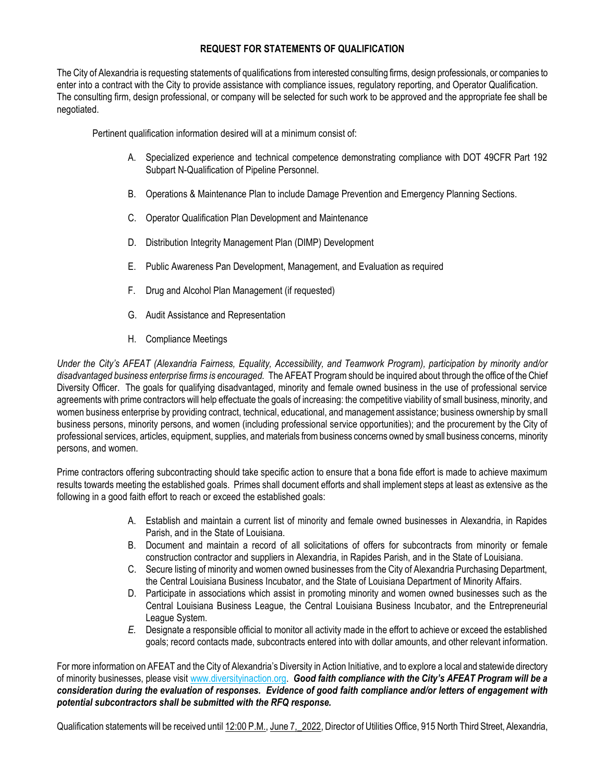## **REQUEST FOR STATEMENTS OF QUALIFICATION**

The City of Alexandria is requesting statements of qualifications from interested consulting firms, design professionals, or companies to enter into a contract with the City to provide assistance with compliance issues, regulatory reporting, and Operator Qualification. The consulting firm, design professional, or company will be selected for such work to be approved and the appropriate fee shall be negotiated.

Pertinent qualification information desired will at a minimum consist of:

- A. Specialized experience and technical competence demonstrating compliance with DOT 49CFR Part 192 Subpart N-Qualification of Pipeline Personnel.
- B. Operations & Maintenance Plan to include Damage Prevention and Emergency Planning Sections.
- C. Operator Qualification Plan Development and Maintenance
- D. Distribution Integrity Management Plan (DIMP) Development
- E. Public Awareness Pan Development, Management, and Evaluation as required
- F. Drug and Alcohol Plan Management (if requested)
- G. Audit Assistance and Representation
- H. Compliance Meetings

*Under the City's AFEAT (Alexandria Fairness, Equality, Accessibility, and Teamwork Program), participation by minority and/or disadvantaged business enterprise firms is encouraged.* The AFEAT Program should be inquired about through the office of the Chief Diversity Officer. The goals for qualifying disadvantaged, minority and female owned business in the use of professional service agreements with prime contractors will help effectuate the goals of increasing: the competitive viability of small business, minority, and women business enterprise by providing contract, technical, educational, and management assistance; business ownership by small business persons, minority persons, and women (including professional service opportunities); and the procurement by the City of professional services, articles, equipment, supplies, and materials from business concerns owned by small business concerns, minority persons, and women.

Prime contractors offering subcontracting should take specific action to ensure that a bona fide effort is made to achieve maximum results towards meeting the established goals. Primes shall document efforts and shall implement steps at least as extensive as the following in a good faith effort to reach or exceed the established goals:

- A. Establish and maintain a current list of minority and female owned businesses in Alexandria, in Rapides Parish, and in the State of Louisiana.
- B. Document and maintain a record of all solicitations of offers for subcontracts from minority or female construction contractor and suppliers in Alexandria, in Rapides Parish, and in the State of Louisiana.
- C. Secure listing of minority and women owned businesses from the City of Alexandria Purchasing Department, the Central Louisiana Business Incubator, and the State of Louisiana Department of Minority Affairs.
- D. Participate in associations which assist in promoting minority and women owned businesses such as the Central Louisiana Business League, the Central Louisiana Business Incubator, and the Entrepreneurial League System.
- *E.* Designate a responsible official to monitor all activity made in the effort to achieve or exceed the established goals; record contacts made, subcontracts entered into with dollar amounts, and other relevant information.

For more information on AFEAT and the City of Alexandria's Diversity in Action Initiative, and to explore a local and statewide directory of minority businesses, please visit [www.diversityinaction.org.](../AppData/Local/Microsoft/Windows/Temporary%20Internet%20Files/Content.Outlook/X5FHH5V0/www.diversityinaction.org) *Good faith compliance with the City's AFEAT Program will be a consideration during the evaluation of responses. Evidence of good faith compliance and/or letters of engagement with potential subcontractors shall be submitted with the RFQ response.* 

Qualification statements will be received until 12:00 P.M., June 7, 2022, Director of Utilities Office, 915 North Third Street, Alexandria,